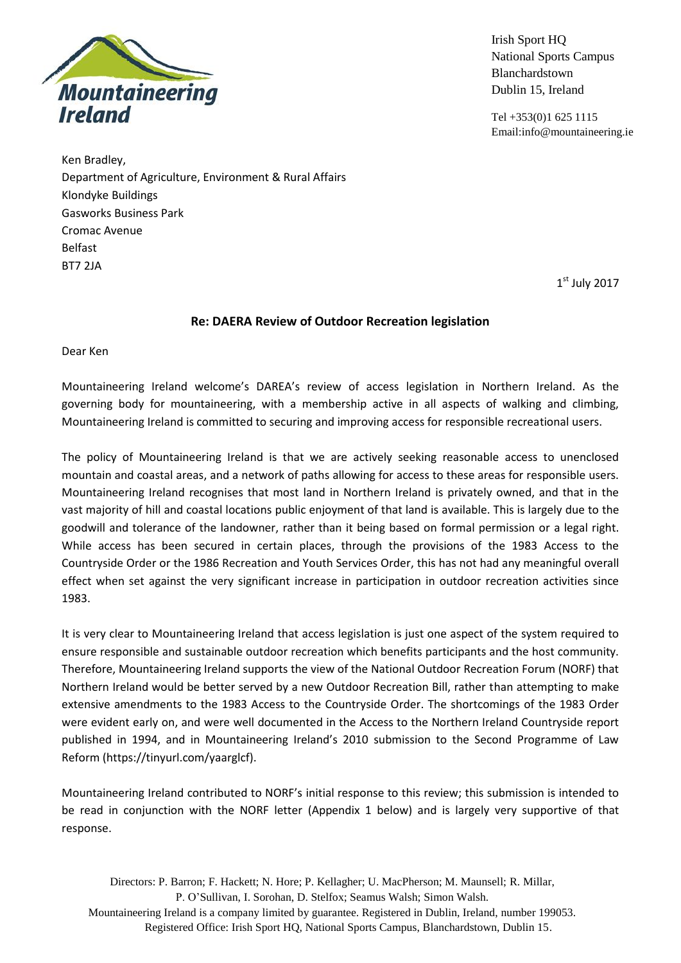

Irish Sport HQ National Sports Campus Blanchardstown Dublin 15, Ireland

Tel +353(0)1 625 1115 Email:info@mountaineering.ie

Ken Bradley, Department of Agriculture, Environment & Rural Affairs Klondyke Buildings Gasworks Business Park Cromac Avenue Belfast BT7 2JA

1 st July 2017

## **Re: DAERA Review of Outdoor Recreation legislation**

Dear Ken

Mountaineering Ireland welcome's DAREA's review of access legislation in Northern Ireland. As the governing body for mountaineering, with a membership active in all aspects of walking and climbing, Mountaineering Ireland is committed to securing and improving access for responsible recreational users.

The policy of Mountaineering Ireland is that we are actively seeking reasonable access to unenclosed mountain and coastal areas, and a network of paths allowing for access to these areas for responsible users. Mountaineering Ireland recognises that most land in Northern Ireland is privately owned, and that in the vast majority of hill and coastal locations public enjoyment of that land is available. This is largely due to the goodwill and tolerance of the landowner, rather than it being based on formal permission or a legal right. While access has been secured in certain places, through the provisions of the 1983 Access to the Countryside Order or the 1986 Recreation and Youth Services Order, this has not had any meaningful overall effect when set against the very significant increase in participation in outdoor recreation activities since 1983.

It is very clear to Mountaineering Ireland that access legislation is just one aspect of the system required to ensure responsible and sustainable outdoor recreation which benefits participants and the host community. Therefore, Mountaineering Ireland supports the view of the National Outdoor Recreation Forum (NORF) that Northern Ireland would be better served by a new Outdoor Recreation Bill, rather than attempting to make extensive amendments to the 1983 Access to the Countryside Order. The shortcomings of the 1983 Order were evident early on, and were well documented in the Access to the Northern Ireland Countryside report published in 1994, and in Mountaineering Ireland's 2010 submission to the Second Programme of Law Reform (https://tinyurl.com/yaarglcf).

Mountaineering Ireland contributed to NORF's initial response to this review; this submission is intended to be read in conjunction with the NORF letter (Appendix 1 below) and is largely very supportive of that response.

Directors: P. Barron; F. Hackett; N. Hore; P. Kellagher; U. MacPherson; M. Maunsell; R. Millar, P. O'Sullivan, I. Sorohan, D. Stelfox; Seamus Walsh; Simon Walsh. Mountaineering Ireland is a company limited by guarantee. Registered in Dublin, Ireland, number 199053. Registered Office: Irish Sport HQ, National Sports Campus, Blanchardstown, Dublin 15.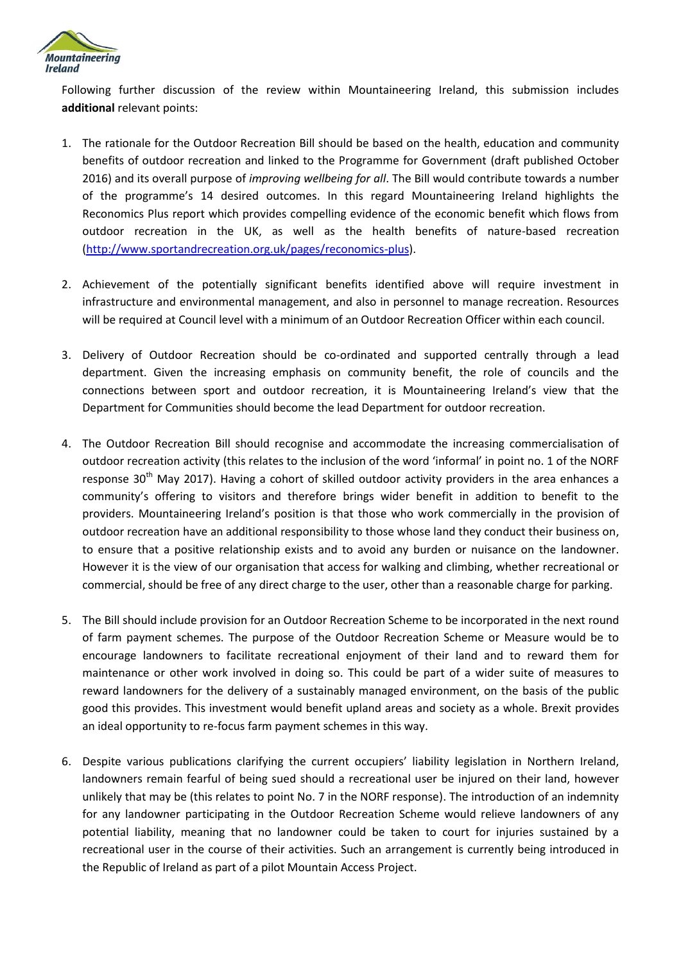

Following further discussion of the review within Mountaineering Ireland, this submission includes **additional** relevant points:

- 1. The rationale for the Outdoor Recreation Bill should be based on the health, education and community benefits of outdoor recreation and linked to the Programme for Government (draft published October 2016) and its overall purpose of *improving wellbeing for all*. The Bill would contribute towards a number of the programme's 14 desired outcomes. In this regard Mountaineering Ireland highlights the Reconomics Plus report which provides compelling evidence of the economic benefit which flows from outdoor recreation in the UK, as well as the health benefits of nature-based recreation [\(http://www.sportandrecreation.org.uk/pages/reconomics-plus\)](http://www.sportandrecreation.org.uk/pages/reconomics-plus).
- 2. Achievement of the potentially significant benefits identified above will require investment in infrastructure and environmental management, and also in personnel to manage recreation. Resources will be required at Council level with a minimum of an Outdoor Recreation Officer within each council.
- 3. Delivery of Outdoor Recreation should be co-ordinated and supported centrally through a lead department. Given the increasing emphasis on community benefit, the role of councils and the connections between sport and outdoor recreation, it is Mountaineering Ireland's view that the Department for Communities should become the lead Department for outdoor recreation.
- 4. The Outdoor Recreation Bill should recognise and accommodate the increasing commercialisation of outdoor recreation activity (this relates to the inclusion of the word 'informal' in point no. 1 of the NORF response 30<sup>th</sup> May 2017). Having a cohort of skilled outdoor activity providers in the area enhances a community's offering to visitors and therefore brings wider benefit in addition to benefit to the providers. Mountaineering Ireland's position is that those who work commercially in the provision of outdoor recreation have an additional responsibility to those whose land they conduct their business on, to ensure that a positive relationship exists and to avoid any burden or nuisance on the landowner. However it is the view of our organisation that access for walking and climbing, whether recreational or commercial, should be free of any direct charge to the user, other than a reasonable charge for parking.
- 5. The Bill should include provision for an Outdoor Recreation Scheme to be incorporated in the next round of farm payment schemes. The purpose of the Outdoor Recreation Scheme or Measure would be to encourage landowners to facilitate recreational enjoyment of their land and to reward them for maintenance or other work involved in doing so. This could be part of a wider suite of measures to reward landowners for the delivery of a sustainably managed environment, on the basis of the public good this provides. This investment would benefit upland areas and society as a whole. Brexit provides an ideal opportunity to re-focus farm payment schemes in this way.
- 6. Despite various publications clarifying the current occupiers' liability legislation in Northern Ireland, landowners remain fearful of being sued should a recreational user be injured on their land, however unlikely that may be (this relates to point No. 7 in the NORF response). The introduction of an indemnity for any landowner participating in the Outdoor Recreation Scheme would relieve landowners of any potential liability, meaning that no landowner could be taken to court for injuries sustained by a recreational user in the course of their activities. Such an arrangement is currently being introduced in the Republic of Ireland as part of a pilot Mountain Access Project.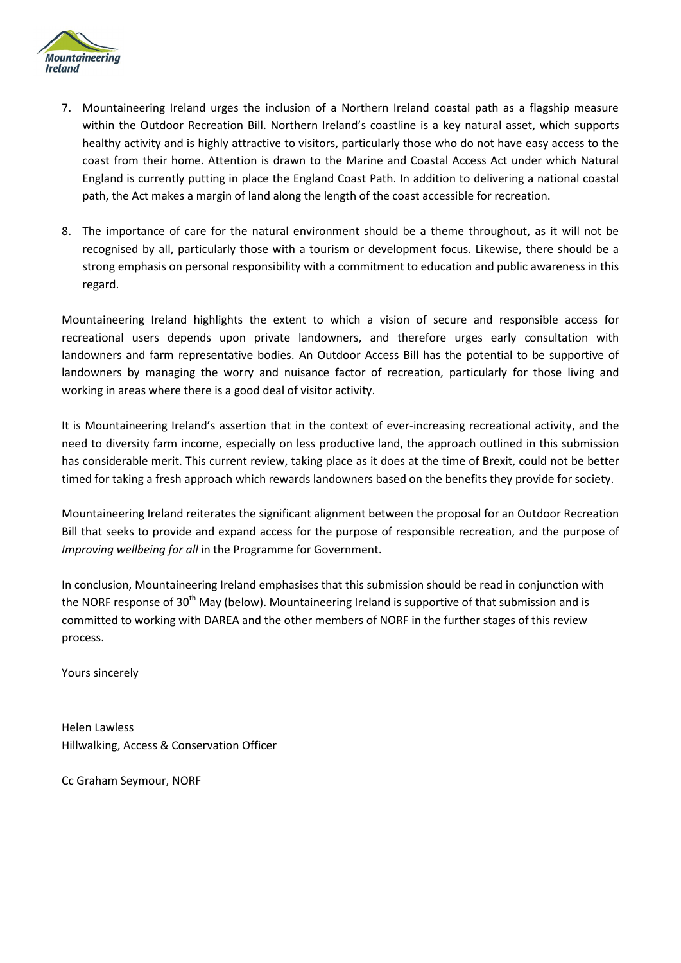

- 7. Mountaineering Ireland urges the inclusion of a Northern Ireland coastal path as a flagship measure within the Outdoor Recreation Bill. Northern Ireland's coastline is a key natural asset, which supports healthy activity and is highly attractive to visitors, particularly those who do not have easy access to the coast from their home. Attention is drawn to the Marine and Coastal Access Act under which Natural England is currently putting in place the England Coast Path. In addition to delivering a national coastal path, the Act makes a margin of land along the length of the coast accessible for recreation.
- 8. The importance of care for the natural environment should be a theme throughout, as it will not be recognised by all, particularly those with a tourism or development focus. Likewise, there should be a strong emphasis on personal responsibility with a commitment to education and public awareness in this regard.

Mountaineering Ireland highlights the extent to which a vision of secure and responsible access for recreational users depends upon private landowners, and therefore urges early consultation with landowners and farm representative bodies. An Outdoor Access Bill has the potential to be supportive of landowners by managing the worry and nuisance factor of recreation, particularly for those living and working in areas where there is a good deal of visitor activity.

It is Mountaineering Ireland's assertion that in the context of ever-increasing recreational activity, and the need to diversity farm income, especially on less productive land, the approach outlined in this submission has considerable merit. This current review, taking place as it does at the time of Brexit, could not be better timed for taking a fresh approach which rewards landowners based on the benefits they provide for society.

Mountaineering Ireland reiterates the significant alignment between the proposal for an Outdoor Recreation Bill that seeks to provide and expand access for the purpose of responsible recreation, and the purpose of *Improving wellbeing for all* in the Programme for Government.

In conclusion, Mountaineering Ireland emphasises that this submission should be read in conjunction with the NORF response of 30<sup>th</sup> May (below). Mountaineering Ireland is supportive of that submission and is committed to working with DAREA and the other members of NORF in the further stages of this review process.

Yours sincerely

Helen Lawless Hillwalking, Access & Conservation Officer

Cc Graham Seymour, NORF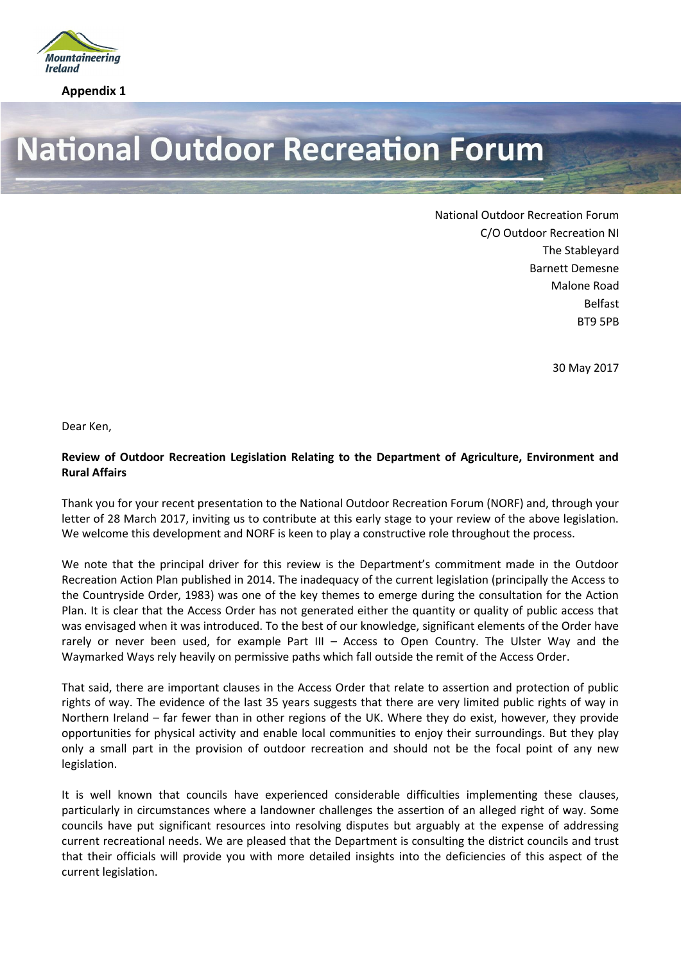

**Appendix 1**

## **National Outdoor Recreation Forum**

National Outdoor Recreation Forum C/O Outdoor Recreation NI The Stableyard Barnett Demesne Malone Road Belfast BT9 5PB

30 May 2017

Dear Ken,

## **Review of Outdoor Recreation Legislation Relating to the Department of Agriculture, Environment and Rural Affairs**

Thank you for your recent presentation to the National Outdoor Recreation Forum (NORF) and, through your letter of 28 March 2017, inviting us to contribute at this early stage to your review of the above legislation. We welcome this development and NORF is keen to play a constructive role throughout the process.

We note that the principal driver for this review is the Department's commitment made in the Outdoor Recreation Action Plan published in 2014. The inadequacy of the current legislation (principally the Access to the Countryside Order, 1983) was one of the key themes to emerge during the consultation for the Action Plan. It is clear that the Access Order has not generated either the quantity or quality of public access that was envisaged when it was introduced. To the best of our knowledge, significant elements of the Order have rarely or never been used, for example Part III – Access to Open Country. The Ulster Way and the Waymarked Ways rely heavily on permissive paths which fall outside the remit of the Access Order.

That said, there are important clauses in the Access Order that relate to assertion and protection of public rights of way. The evidence of the last 35 years suggests that there are very limited public rights of way in Northern Ireland – far fewer than in other regions of the UK. Where they do exist, however, they provide opportunities for physical activity and enable local communities to enjoy their surroundings. But they play only a small part in the provision of outdoor recreation and should not be the focal point of any new legislation.

It is well known that councils have experienced considerable difficulties implementing these clauses, particularly in circumstances where a landowner challenges the assertion of an alleged right of way. Some councils have put significant resources into resolving disputes but arguably at the expense of addressing current recreational needs. We are pleased that the Department is consulting the district councils and trust that their officials will provide you with more detailed insights into the deficiencies of this aspect of the current legislation.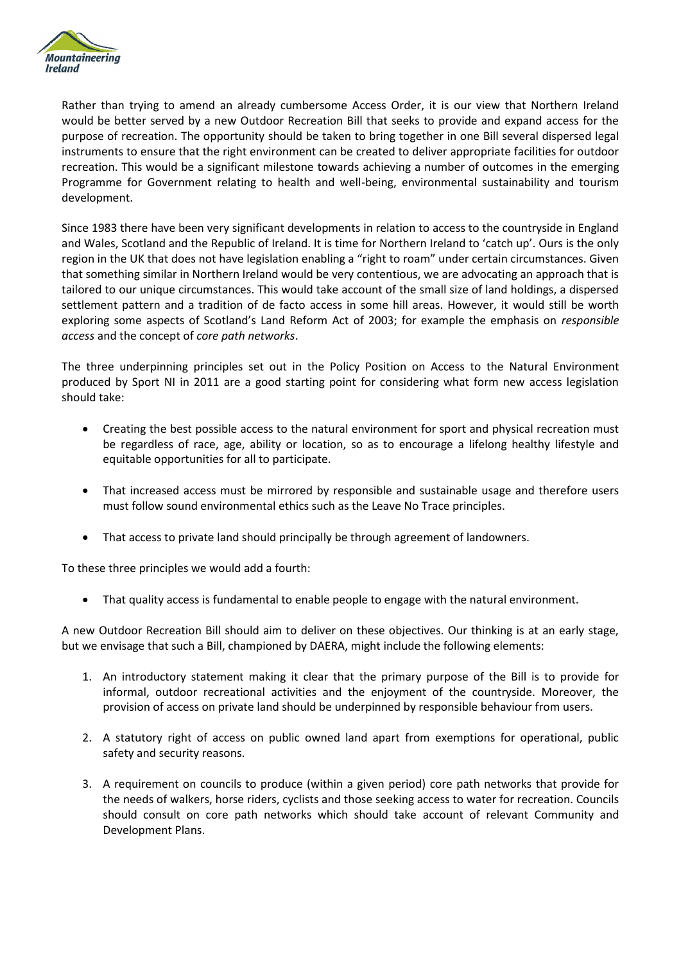

Rather than trying to amend an already cumbersome Access Order, it is our view that Northern Ireland would be better served by a new Outdoor Recreation Bill that seeks to provide and expand access for the purpose of recreation. The opportunity should be taken to bring together in one Bill several dispersed legal instruments to ensure that the right environment can be created to deliver appropriate facilities for outdoor recreation. This would be a significant milestone towards achieving a number of outcomes in the emerging Programme for Government relating to health and well-being, environmental sustainability and tourism development.

Since 1983 there have been very significant developments in relation to access to the countryside in England and Wales, Scotland and the Republic of Ireland. It is time for Northern Ireland to 'catch up'. Ours is the only region in the UK that does not have legislation enabling a "right to roam" under certain circumstances. Given that something similar in Northern Ireland would be very contentious, we are advocating an approach that is tailored to our unique circumstances. This would take account of the small size of land holdings, a dispersed settlement pattern and a tradition of de facto access in some hill areas. However, it would still be worth exploring some aspects of Scotland's Land Reform Act of 2003; for example the emphasis on *responsible access* and the concept of *core path networks*.

The three underpinning principles set out in the Policy Position on Access to the Natural Environment produced by Sport NI in 2011 are a good starting point for considering what form new access legislation should take:

- Creating the best possible access to the natural environment for sport and physical recreation must be regardless of race, age, ability or location, so as to encourage a lifelong healthy lifestyle and equitable opportunities for all to participate.
- That increased access must be mirrored by responsible and sustainable usage and therefore users must follow sound environmental ethics such as the Leave No Trace principles.
- That access to private land should principally be through agreement of landowners.

To these three principles we would add a fourth:

That quality access is fundamental to enable people to engage with the natural environment.

A new Outdoor Recreation Bill should aim to deliver on these objectives. Our thinking is at an early stage, but we envisage that such a Bill, championed by DAERA, might include the following elements:

- 1. An introductory statement making it clear that the primary purpose of the Bill is to provide for informal, outdoor recreational activities and the enjoyment of the countryside. Moreover, the provision of access on private land should be underpinned by responsible behaviour from users.
- 2. A statutory right of access on public owned land apart from exemptions for operational, public safety and security reasons.
- 3. A requirement on councils to produce (within a given period) core path networks that provide for the needs of walkers, horse riders, cyclists and those seeking access to water for recreation. Councils should consult on core path networks which should take account of relevant Community and Development Plans.